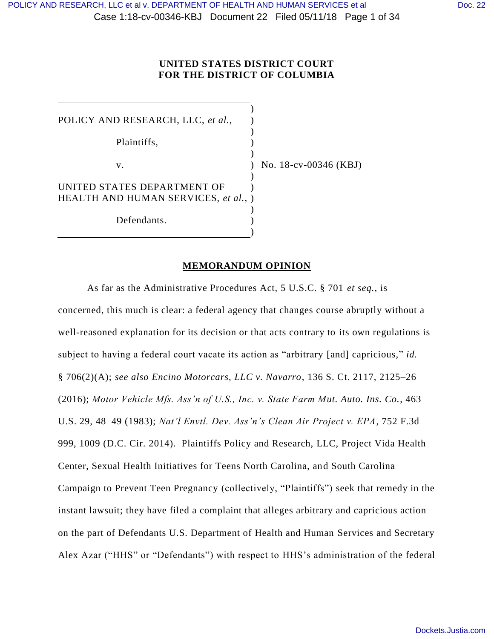### **UNITED STATES DISTRICT COURT FOR THE DISTRICT OF COLUMBIA**

) POLICY AND RESEARCH, LLC, *et al.*, ) Plaintiffs, ) ) v.  $\qquad \qquad$  ) No. 18-cv-00346 (KBJ) ) UNITED STATES DEPARTMENT OF HEALTH AND HUMAN SERVICES, *et al.*, ) ) ) Defendants. )

### **MEMORANDUM OPINION**

As far as the Administrative Procedures Act, 5 U.S.C. § 701 *et seq.*, is concerned, this much is clear: a federal agency that changes course abruptly without a well-reasoned explanation for its decision or that acts contrary to its own regulations is subject to having a federal court vacate its action as "arbitrary [and] capricious," *id.* § 706(2)(A); *see also Encino Motorcars, LLC v. Navarro*, 136 S. Ct. 2117, 2125–26 (2016); *Motor Vehicle Mfs. Ass'n of U.S., Inc. v. State Farm Mut. Auto. Ins. Co.*, 463 U.S. 29, 48–49 (1983); *Nat'l Envtl. Dev. Ass'n's Clean Air Project v. EPA*, 752 F.3d 999, 1009 (D.C. Cir. 2014). Plaintiffs Policy and Research, LLC, Project Vida Health Center, Sexual Health Initiatives for Teens North Carolina, and South Carolina Campaign to Prevent Teen Pregnancy (collectively, "Plaintiffs") seek that remedy in the instant lawsuit; they have filed a complaint that alleges arbitrary and capricious action on the part of Defendants U.S. Department of Health and Human Services and Secretary Alex Azar ("HHS" or "Defendants") with respect to HHS's administration of the federal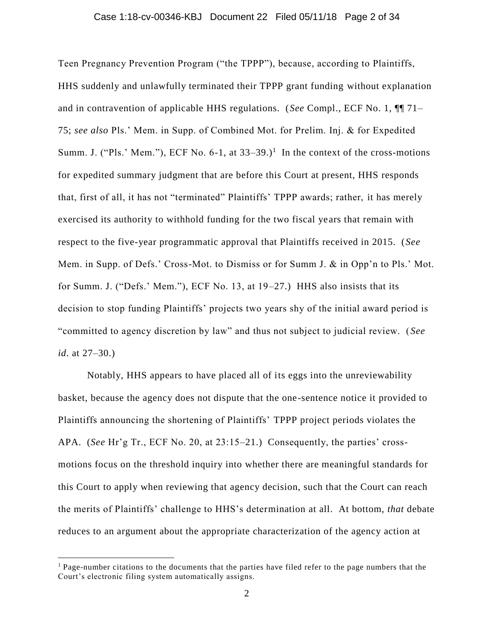### Case 1:18-cv-00346-KBJ Document 22 Filed 05/11/18 Page 2 of 34

Teen Pregnancy Prevention Program ("the TPPP"), because, according to Plaintiffs, HHS suddenly and unlawfully terminated their TPPP grant funding without explanation and in contravention of applicable HHS regulations. (*See* Compl., ECF No. 1, ¶¶ 71– 75; *see also* Pls.' Mem. in Supp. of Combined Mot. for Prelim. Inj. & for Expedited Summ. J. ("Pls.' Mem."), ECF No. 6-1, at  $33-39$ .)<sup>1</sup> In the context of the cross-motions for expedited summary judgment that are before this Court at present, HHS responds that, first of all, it has not "terminated" Plaintiffs' TPPP awards; rather, it has merely exercised its authority to withhold funding for the two fiscal ye ars that remain with respect to the five-year programmatic approval that Plaintiffs received in 2015. (*See* Mem. in Supp. of Defs.' Cross-Mot. to Dismiss or for Summ J. & in Opp'n to Pls.' Mot. for Summ. J. ("Defs.' Mem."), ECF No. 13, at 19–27.) HHS also insists that its decision to stop funding Plaintiffs' projects two years shy of the initial award period is "committed to agency discretion by law" and thus not subject to judicial review. ( *See id*. at 27–30.)

Notably, HHS appears to have placed all of its eggs into the unreviewability basket, because the agency does not dispute that the one-sentence notice it provided to Plaintiffs announcing the shortening of Plaintiffs' TPPP project periods violates the APA. (*See* Hr'g Tr., ECF No. 20, at 23:15–21.) Consequently, the parties' crossmotions focus on the threshold inquiry into whether there are meaningful standards for this Court to apply when reviewing that agency decision, such that the Court can reach the merits of Plaintiffs' challenge to HHS's determination at all. At bottom, *that* debate reduces to an argument about the appropriate characterization of the agency action at

 $\overline{a}$ 

<sup>&</sup>lt;sup>1</sup> Page-number citations to the documents that the parties have filed refer to the page numbers that the Court's electronic filing system automatically assigns.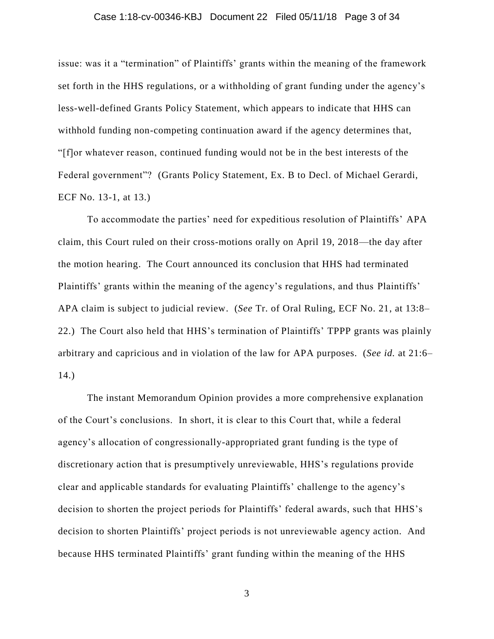### Case 1:18-cv-00346-KBJ Document 22 Filed 05/11/18 Page 3 of 34

issue: was it a "termination" of Plaintiffs' grants within the meaning of the framework set forth in the HHS regulations, or a withholding of grant funding under the agency's less-well-defined Grants Policy Statement, which appears to indicate that HHS can withhold funding non-competing continuation award if the agency determines that, "[f]or whatever reason, continued funding would not be in the best interests of the Federal government"? (Grants Policy Statement, Ex. B to Decl. of Michael Gerardi, ECF No. 13-1, at 13.)

To accommodate the parties' need for expeditious resolution of Plaintiffs' APA claim, this Court ruled on their cross-motions orally on April 19, 2018—the day after the motion hearing. The Court announced its conclusion that HHS had terminated Plaintiffs' grants within the meaning of the agency's regulations, and thus Plaintiffs' APA claim is subject to judicial review. (*See* Tr. of Oral Ruling, ECF No. 21, at 13:8– 22.) The Court also held that HHS's termination of Plaintiffs' TPPP grants was plainly arbitrary and capricious and in violation of the law for APA purposes. (*See id.* at 21:6– 14.)

The instant Memorandum Opinion provides a more comprehensive explanation of the Court's conclusions. In short, it is clear to this Court that, while a federal agency's allocation of congressionally-appropriated grant funding is the type of discretionary action that is presumptively unreviewable, HHS's regulations provide clear and applicable standards for evaluating Plaintiffs' challenge to the agency's decision to shorten the project periods for Plaintiffs' federal awards, such that HHS's decision to shorten Plaintiffs' project periods is not unreviewable agency action. And because HHS terminated Plaintiffs' grant funding within the meaning of the HHS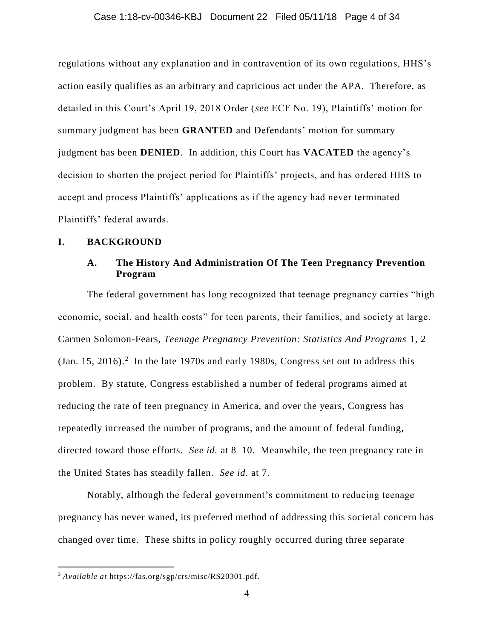### Case 1:18-cv-00346-KBJ Document 22 Filed 05/11/18 Page 4 of 34

regulations without any explanation and in contravention of its own regulations, HHS's action easily qualifies as an arbitrary and capricious act under the APA. Therefore, as detailed in this Court's April 19, 2018 Order (*see* ECF No. 19), Plaintiffs' motion for summary judgment has been **GRANTED** and Defendants' motion for summary judgment has been **DENIED**. In addition, this Court has **VACATED** the agency's decision to shorten the project period for Plaintiffs' projects, and has ordered HHS to accept and process Plaintiffs' applications as if the agency had never terminated Plaintiffs' federal awards.

### **I. BACKGROUND**

### **A. The History And Administration Of The Teen Pregnancy Prevention Program**

The federal government has long recognized that teenage pregnancy carries "high economic, social, and health costs" for teen parents, their families, and society at large. Carmen Solomon-Fears, *Teenage Pregnancy Prevention: Statistics And Programs* 1, 2  $(Jan. 15, 2016).$ <sup>2</sup> In the late 1970s and early 1980s, Congress set out to address this problem. By statute, Congress established a number of federal programs aimed at reducing the rate of teen pregnancy in America, and over the years, Congress has repeatedly increased the number of programs, and the amount of federal funding, directed toward those efforts. *See id.* at 8–10. Meanwhile, the teen pregnancy rate in the United States has steadily fallen. *See id.* at 7.

Notably, although the federal government's commitment to reducing teenage pregnancy has never waned, its preferred method of addressing this societal concern has changed over time. These shifts in policy roughly occurred during three separate

 $\overline{a}$ 

<sup>2</sup> *Available at* https://fas.org/sgp/crs/misc/RS20301.pdf.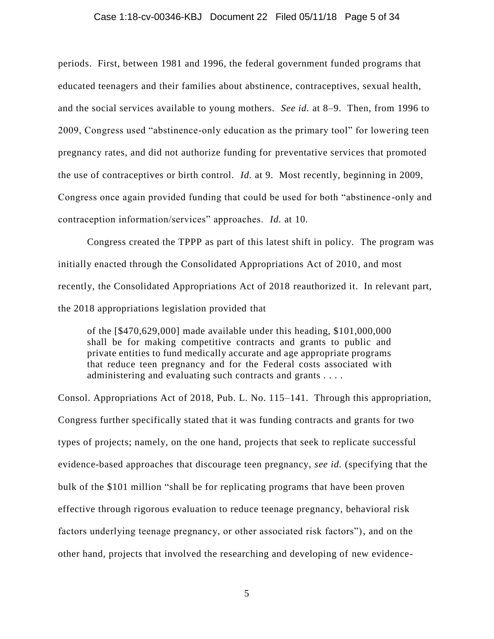#### Case 1:18-cv-00346-KBJ Document 22 Filed 05/11/18 Page 5 of 34

periods. First, between 1981 and 1996, the federal government funded programs that educated teenagers and their families about abstinence, contraceptives, sexual health, and the social services available to young mothers. *See id.* at 8–9. Then, from 1996 to 2009, Congress used "abstinence-only education as the primary tool" for lowering teen pregnancy rates, and did not authorize funding for preventative services that promoted the use of contraceptives or birth control. *Id.* at 9. Most recently, beginning in 2009, Congress once again provided funding that could be used for both "abstinence -only and contraception information/services" approaches. *Id.* at 10.

Congress created the TPPP as part of this latest shift in policy. The program was initially enacted through the Consolidated Appropriations Act of 2010, and most recently, the Consolidated Appropriations Act of 2018 reauthorized it. In relevant part, the 2018 appropriations legislation provided that

of the [\$470,629,000] made available under this heading, \$101,000,000 shall be for making competitive contracts and grants to public and private entities to fund medically accurate and age appropriate programs that reduce teen pregnancy and for the Federal costs associated with administering and evaluating such contracts and grants . . . .

Consol. Appropriations Act of 2018, Pub. L. No. 115–141. Through this appropriation, Congress further specifically stated that it was funding contracts and grants for two types of projects; namely, on the one hand, projects that seek to replicate successful evidence-based approaches that discourage teen pregnancy, *see id.* (specifying that the bulk of the \$101 million "shall be for replicating programs that have been proven effective through rigorous evaluation to reduce teenage pregnancy, behavioral risk factors underlying teenage pregnancy, or other associated risk factors"), and on the other hand, projects that involved the researching and developing of new evidence-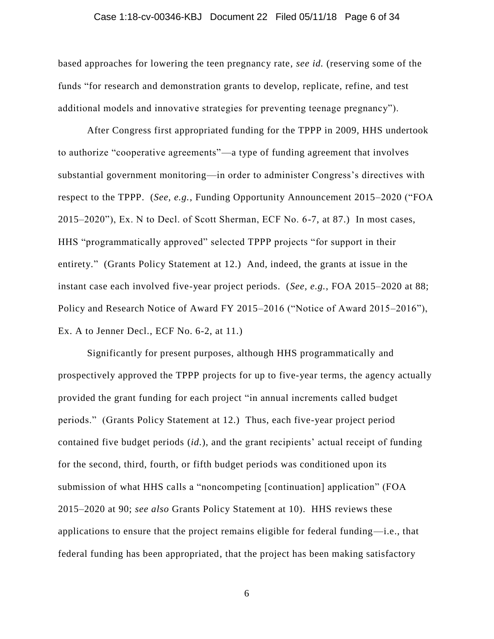### Case 1:18-cv-00346-KBJ Document 22 Filed 05/11/18 Page 6 of 34

based approaches for lowering the teen pregnancy rate, *see id.* (reserving some of the funds "for research and demonstration grants to develop, replicate, refine, and test additional models and innovative strategies for preventing teenage pregnancy").

After Congress first appropriated funding for the TPPP in 2009, HHS undertook to authorize "cooperative agreements"—a type of funding agreement that involves substantial government monitoring—in order to administer Congress's directives with respect to the TPPP. (*See, e.g.*, Funding Opportunity Announcement 2015–2020 ("FOA 2015–2020"), Ex. N to Decl. of Scott Sherman, ECF No. 6-7, at 87.) In most cases, HHS "programmatically approved" selected TPPP projects "for support in their entirety." (Grants Policy Statement at 12.) And, indeed, the grants at issue in the instant case each involved five-year project periods. (*See, e.g.*, FOA 2015–2020 at 88; Policy and Research Notice of Award FY 2015–2016 ("Notice of Award 2015–2016"), Ex. A to Jenner Decl., ECF No. 6-2, at 11.)

Significantly for present purposes, although HHS programmatically and prospectively approved the TPPP projects for up to five-year terms, the agency actually provided the grant funding for each project "in annual increments called budget periods." (Grants Policy Statement at 12.) Thus, each five-year project period contained five budget periods (*id.*), and the grant recipients' actual receipt of funding for the second, third, fourth, or fifth budget periods was conditioned upon its submission of what HHS calls a "noncompeting [continuation] application" (FOA 2015–2020 at 90; *see also* Grants Policy Statement at 10). HHS reviews these applications to ensure that the project remains eligible for federal funding—i.e., that federal funding has been appropriated, that the project has been making satisfactory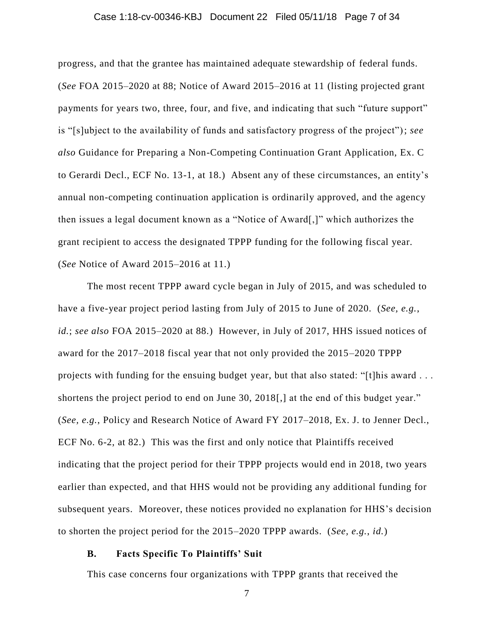### Case 1:18-cv-00346-KBJ Document 22 Filed 05/11/18 Page 7 of 34

progress, and that the grantee has maintained adequate stewardship of federal funds. (*See* FOA 2015–2020 at 88; Notice of Award 2015–2016 at 11 (listing projected grant payments for years two, three, four, and five, and indicating that such "future support" is "[s]ubject to the availability of funds and satisfactory progress of the project"); *see also* Guidance for Preparing a Non-Competing Continuation Grant Application, Ex. C to Gerardi Decl., ECF No. 13-1, at 18.) Absent any of these circumstances, an entity's annual non-competing continuation application is ordinarily approved, and the agency then issues a legal document known as a "Notice of Award[,]" which authorizes the grant recipient to access the designated TPPP funding for the following fiscal year. (*See* Notice of Award 2015–2016 at 11.)

The most recent TPPP award cycle began in July of 2015, and was scheduled to have a five-year project period lasting from July of 2015 to June of 2020. (*See, e.g.*, *id.*; *see also* FOA 2015–2020 at 88.) However, in July of 2017, HHS issued notices of award for the 2017–2018 fiscal year that not only provided the 2015–2020 TPPP projects with funding for the ensuing budget year, but that also stated: "[t]his award . . . shortens the project period to end on June 30, 2018[,] at the end of this budget year." (*See, e.g.*, Policy and Research Notice of Award FY 2017–2018, Ex. J. to Jenner Decl., ECF No. 6-2, at 82.) This was the first and only notice that Plaintiffs received indicating that the project period for their TPPP projects would end in 2018, two years earlier than expected, and that HHS would not be providing any additional funding for subsequent years. Moreover, these notices provided no explanation for HHS's decision to shorten the project period for the 2015–2020 TPPP awards. (*See, e.g.*, *id.*)

### **B. Facts Specific To Plaintiffs' Suit**

This case concerns four organizations with TPPP grants that received the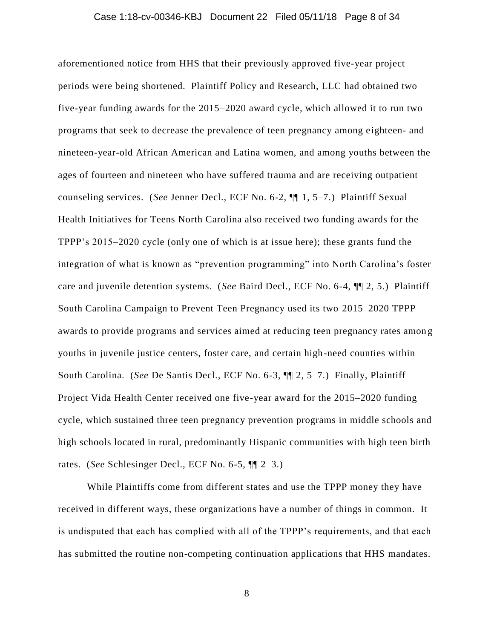### Case 1:18-cv-00346-KBJ Document 22 Filed 05/11/18 Page 8 of 34

aforementioned notice from HHS that their previously approved five-year project periods were being shortened. Plaintiff Policy and Research, LLC had obtained two five-year funding awards for the 2015–2020 award cycle, which allowed it to run two programs that seek to decrease the prevalence of teen pregnancy among eighteen- and nineteen-year-old African American and Latina women, and among youths between the ages of fourteen and nineteen who have suffered trauma and are receiving outpatient counseling services. (*See* Jenner Decl., ECF No. 6-2, ¶¶ 1, 5–7.) Plaintiff Sexual Health Initiatives for Teens North Carolina also received two funding awards for the TPPP's 2015–2020 cycle (only one of which is at issue here); these grants fund the integration of what is known as "prevention programming" into North Carolina's foster care and juvenile detention systems. (*See* Baird Decl., ECF No. 6-4, ¶¶ 2, 5.) Plaintiff South Carolina Campaign to Prevent Teen Pregnancy used its two 2015–2020 TPPP awards to provide programs and services aimed at reducing teen pregnancy rates amon g youths in juvenile justice centers, foster care, and certain high-need counties within South Carolina. (*See* De Santis Decl., ECF No. 6-3, ¶¶ 2, 5–7.) Finally, Plaintiff Project Vida Health Center received one five-year award for the 2015–2020 funding cycle, which sustained three teen pregnancy prevention programs in middle schools and high schools located in rural, predominantly Hispanic communities with high teen birth rates. (*See* Schlesinger Decl., ECF No. 6-5, ¶¶ 2–3.)

While Plaintiffs come from different states and use the TPPP money they have received in different ways, these organizations have a number of things in common. It is undisputed that each has complied with all of the TPPP's requirements, and that each has submitted the routine non-competing continuation applications that HHS mandates.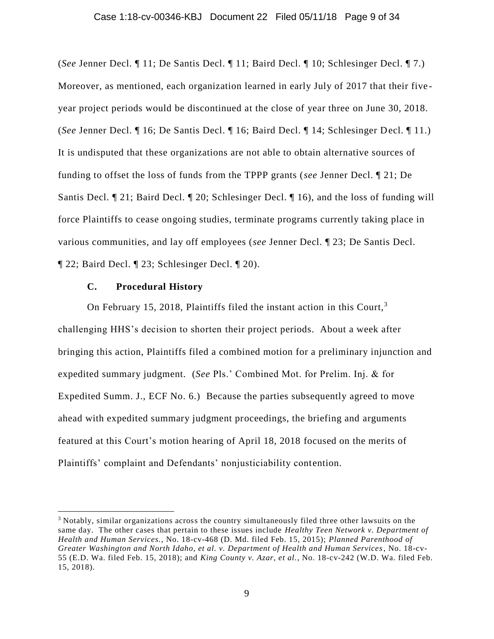# Case 1:18-cv-00346-KBJ Document 22 Filed 05/11/18 Page 9 of 34

(*See* Jenner Decl. ¶ 11; De Santis Decl. ¶ 11; Baird Decl. ¶ 10; Schlesinger Decl. ¶ 7.) Moreover, as mentioned, each organization learned in early July of 2017 that their five year project periods would be discontinued at the close of year three on June 30, 2018. (*See* Jenner Decl. ¶ 16; De Santis Decl. ¶ 16; Baird Decl. ¶ 14; Schlesinger Decl. ¶ 11.) It is undisputed that these organizations are not able to obtain alternative sources of funding to offset the loss of funds from the TPPP grants (*see* Jenner Decl. ¶ 21; De Santis Decl. ¶ 21; Baird Decl. ¶ 20; Schlesinger Decl. ¶ 16), and the loss of funding will force Plaintiffs to cease ongoing studies, terminate programs currently taking place in various communities, and lay off employees (*see* Jenner Decl. ¶ 23; De Santis Decl. ¶ 22; Baird Decl. ¶ 23; Schlesinger Decl. ¶ 20).

### **C. Procedural History**

 $\overline{a}$ 

On February 15, 2018, Plaintiffs filed the instant action in this Court, $3$ challenging HHS's decision to shorten their project periods. About a week after bringing this action, Plaintiffs filed a combined motion for a preliminary injunction and expedited summary judgment. (*See* Pls.' Combined Mot. for Prelim. Inj. & for Expedited Summ. J., ECF No. 6.) Because the parties subsequently agreed to move ahead with expedited summary judgment proceedings, the briefing and arguments featured at this Court's motion hearing of April 18, 2018 focused on the merits of Plaintiffs' complaint and Defendants' nonjusticiability contention.

<sup>&</sup>lt;sup>3</sup> Notably, similar organizations across the country simultaneously filed three other lawsuits on the same day. The other cases that pertain to these issues include *Healthy Teen Network v. Department of Health and Human Services.*, No. 18-cv-468 (D. Md. filed Feb. 15, 2015); *Planned Parenthood of Greater Washington and North Idaho, et al. v. Department of Health and Human Services*, No. 18-cv-55 (E.D. Wa. filed Feb. 15, 2018); and *King County v. Azar, et al.*, No. 18-cv-242 (W.D. Wa. filed Feb. 15, 2018).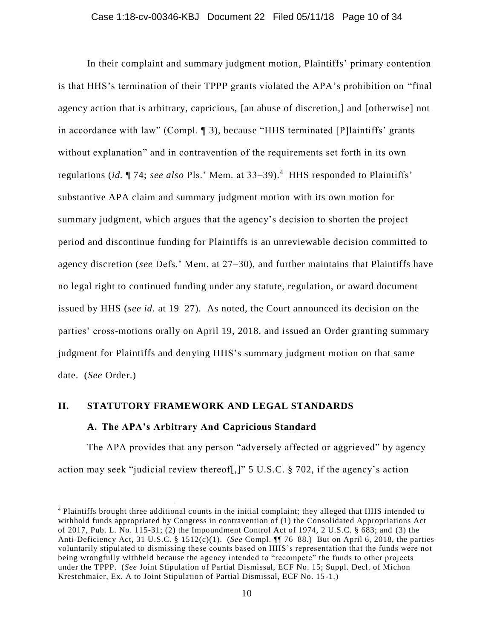In their complaint and summary judgment motion, Plaintiffs' primary contention is that HHS's termination of their TPPP grants violated the APA's prohibition on "final agency action that is arbitrary, capricious, [an abuse of discretion,] and [otherwise] not in accordance with law" (Compl. ¶ 3), because "HHS terminated [P]laintiffs' grants without explanation" and in contravention of the requirements set forth in its own regulations (*id.*  $\P$  74; *see also* Pls.' Mem. at 33–39).<sup>4</sup> HHS responded to Plaintiffs' substantive APA claim and summary judgment motion with its own motion for summary judgment, which argues that the agency's decision to shorten the project period and discontinue funding for Plaintiffs is an unreviewable decision committed to agency discretion (*see* Defs.' Mem. at 27–30), and further maintains that Plaintiffs have no legal right to continued funding under any statute, regulation, or award document issued by HHS (*see id.* at 19–27). As noted, the Court announced its decision on the parties' cross-motions orally on April 19, 2018, and issued an Order granting summary judgment for Plaintiffs and denying HHS's summary judgment motion on that same date. (*See* Order.)

# **II. STATUTORY FRAMEWORK AND LEGAL STANDARDS A. The APA's Arbitrary And Capricious Standard**

 $\overline{a}$ 

The APA provides that any person "adversely affected or aggrieved" by agency action may seek "judicial review thereof[,]" 5 U.S.C. § 702, if the agency's action

<sup>4</sup> Plaintiffs brought three additional counts in the initial complaint; they alleged that HHS intended to withhold funds appropriated by Congress in contravention of (1) the Consolidated Appropriations Act of 2017, Pub. L. No. 115-31; (2) the Impoundment Control Act of 1974, 2 U.S.C. § 683; and (3) the Anti-Deficiency Act, 31 U.S.C. § 1512(c)(1). (*See* Compl. ¶¶ 76–88.) But on April 6, 2018, the parties voluntarily stipulated to dismissing these counts based on HHS's representation that the funds were not being wrongfully withheld because the agency intended to "recompete" the funds to other projects under the TPPP. (*See* Joint Stipulation of Partial Dismissal, ECF No. 15; Suppl. Decl. of Michon Krestchmaier, Ex. A to Joint Stipulation of Partial Dismissal, ECF No. 15 -1.)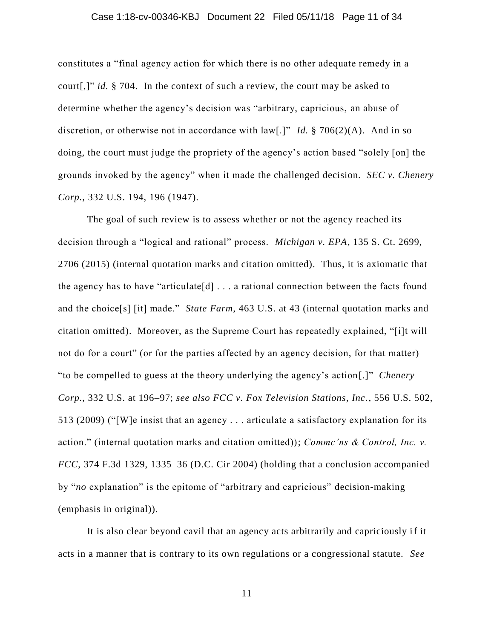### Case 1:18-cv-00346-KBJ Document 22 Filed 05/11/18 Page 11 of 34

constitutes a "final agency action for which there is no other adequate remedy in a court[,]" *id.* § 704. In the context of such a review, the court may be asked to determine whether the agency's decision was "arbitrary, capricious, an abuse of discretion, or otherwise not in accordance with law[.]" *Id.* § 706(2)(A). And in so doing, the court must judge the propriety of the agency's action based "solely [on] the grounds invoked by the agency" when it made the challenged decision. *SEC v. Chenery Corp.*, 332 U.S. 194, 196 (1947).

The goal of such review is to assess whether or not the agency reached its decision through a "logical and rational" process. *Michigan v. EPA*, 135 S. Ct. 2699, 2706 (2015) (internal quotation marks and citation omitted). Thus, it is axiomatic that the agency has to have "articulate $[d] \ldots$  a rational connection between the facts found and the choice[s] [it] made." *State Farm*, 463 U.S. at 43 (internal quotation marks and citation omitted). Moreover, as the Supreme Court has repeatedly explained, "[i]t will not do for a court" (or for the parties affected by an agency decision, for that matter) "to be compelled to guess at the theory underlying the agency's action[.]" *Chenery Corp.*, 332 U.S. at 196–97; *see also FCC v. Fox Television Stations, Inc.*, 556 U.S. 502, 513 (2009) ("[W]e insist that an agency . . . articulate a satisfactory explanation for its action." (internal quotation marks and citation omitted)); *Commc'ns & Control, Inc. v. FCC*, 374 F.3d 1329, 1335–36 (D.C. Cir 2004) (holding that a conclusion accompanied by "*no* explanation" is the epitome of "arbitrary and capricious" decision-making (emphasis in original)).

It is also clear beyond cavil that an agency acts arbitrarily and capriciously if it acts in a manner that is contrary to its own regulations or a congressional statute. *See*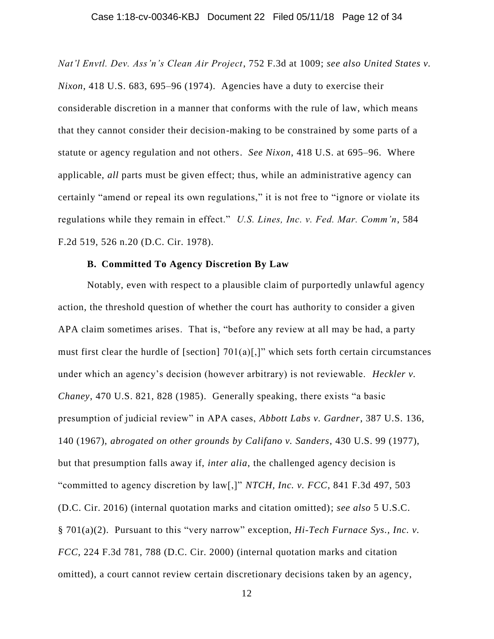*Nat'l Envtl. Dev. Ass'n's Clean Air Project*, 752 F.3d at 1009; *see also United States v. Nixon*, 418 U.S. 683, 695–96 (1974). Agencies have a duty to exercise their considerable discretion in a manner that conforms with the rule of law, which means that they cannot consider their decision-making to be constrained by some parts of a statute or agency regulation and not others. *See Nixon*, 418 U.S. at 695–96. Where applicable, *all* parts must be given effect; thus, while an administrative agency can certainly "amend or repeal its own regulations," it is not free to "ignore or violate its regulations while they remain in effect." *U.S. Lines, Inc. v. Fed. Mar. Comm'n*, 584 F.2d 519, 526 n.20 (D.C. Cir. 1978).

### **B. Committed To Agency Discretion By Law**

Notably, even with respect to a plausible claim of purportedly unlawful agency action, the threshold question of whether the court has authority to consider a given APA claim sometimes arises. That is, "before any review at all may be had, a party must first clear the hurdle of [section]  $701(a)$ [,]" which sets forth certain circumstances under which an agency's decision (however arbitrary) is not reviewable. *Heckler v. Chaney*, 470 U.S. 821, 828 (1985). Generally speaking, there exists "a basic presumption of judicial review" in APA cases, *Abbott Labs v. Gardner*, 387 U.S. 136, 140 (1967), *abrogated on other grounds by Califano v. Sanders*, 430 U.S. 99 (1977), but that presumption falls away if, *inter alia*, the challenged agency decision is "committed to agency discretion by law[,]" *NTCH, Inc. v. FCC*, 841 F.3d 497, 503 (D.C. Cir. 2016) (internal quotation marks and citation omitted); *see also* 5 U.S.C. § 701(a)(2). Pursuant to this "very narrow" exception, *Hi-Tech Furnace Sys., Inc. v. FCC*, 224 F.3d 781, 788 (D.C. Cir. 2000) (internal quotation marks and citation omitted), a court cannot review certain discretionary decisions taken by an agency,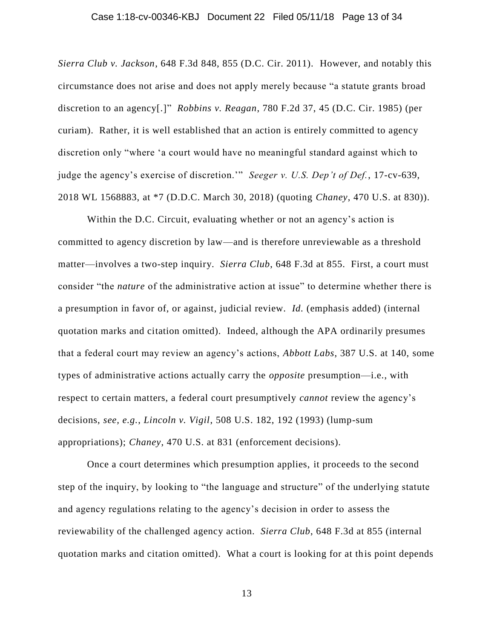### Case 1:18-cv-00346-KBJ Document 22 Filed 05/11/18 Page 13 of 34

*Sierra Club v. Jackson*, 648 F.3d 848, 855 (D.C. Cir. 2011). However, and notably this circumstance does not arise and does not apply merely because "a statute grants broad discretion to an agency[.]" *Robbins v. Reagan*, 780 F.2d 37, 45 (D.C. Cir. 1985) (per curiam). Rather, it is well established that an action is entirely committed to agency discretion only "where 'a court would have no meaningful standard against which to judge the agency's exercise of discretion.'" *Seeger v. U.S. Dep't of Def.*, 17-cv-639, 2018 WL 1568883, at \*7 (D.D.C. March 30, 2018) (quoting *Chaney*, 470 U.S. at 830)).

Within the D.C. Circuit, evaluating whether or not an agency's action is committed to agency discretion by law—and is therefore unreviewable as a threshold matter—involves a two-step inquiry. *Sierra Club*, 648 F.3d at 855. First, a court must consider "the *nature* of the administrative action at issue" to determine whether there is a presumption in favor of, or against, judicial review. *Id.* (emphasis added) (internal quotation marks and citation omitted). Indeed, although the APA ordinarily presumes that a federal court may review an agency's actions, *Abbott Labs*, 387 U.S. at 140, some types of administrative actions actually carry the *opposite* presumption—i.e., with respect to certain matters, a federal court presumptively *cannot* review the agency's decisions, *see, e.g.*, *Lincoln v. Vigil*, 508 U.S. 182, 192 (1993) (lump-sum appropriations); *Chaney*, 470 U.S. at 831 (enforcement decisions).

Once a court determines which presumption applies, it proceeds to the second step of the inquiry, by looking to "the language and structure" of the underlying statute and agency regulations relating to the agency's decision in order to assess the reviewability of the challenged agency action. *Sierra Club*, 648 F.3d at 855 (internal quotation marks and citation omitted). What a court is looking for at this point depends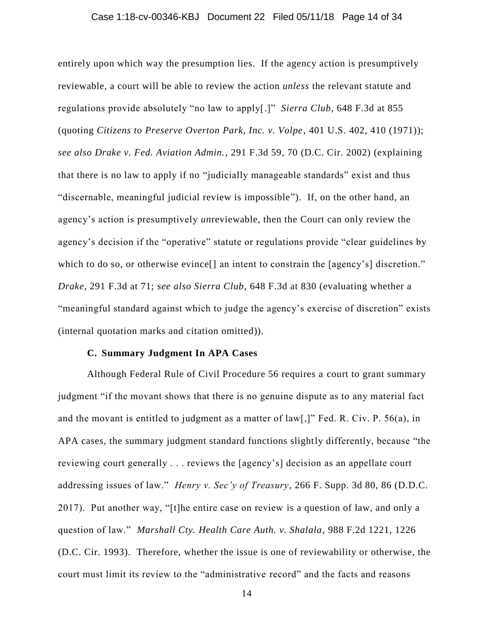### Case 1:18-cv-00346-KBJ Document 22 Filed 05/11/18 Page 14 of 34

entirely upon which way the presumption lies. If the agency action is presumptively reviewable, a court will be able to review the action *unless* the relevant statute and regulations provide absolutely "no law to apply[.]" *Sierra Club*, 648 F.3d at 855 (quoting *Citizens to Preserve Overton Park, Inc. v. Volpe*, 401 U.S. 402, 410 (1971)); *see also Drake v. Fed. Aviation Admin.*, 291 F.3d 59, 70 (D.C. Cir. 2002) (explaining that there is no law to apply if no "judicially manageable standards" exist and thus "discernable, meaningful judicial review is impossible"). If, on the other hand, an agency's action is presumptively *un*reviewable, then the Court can only review the agency's decision if the "operative" statute or regulations provide "clear guidelines by which to do so, or otherwise evince<sup>[]</sup> an intent to constrain the [agency's] discretion." *Drake*, 291 F.3d at 71; *see also Sierra Club*, 648 F.3d at 830 (evaluating whether a "meaningful standard against which to judge the agency's exercise of discretion" exists (internal quotation marks and citation omitted)).

### **C. Summary Judgment In APA Cases**

Although Federal Rule of Civil Procedure 56 requires a court to grant summary judgment "if the movant shows that there is no genuine dispute as to any material fact and the movant is entitled to judgment as a matter of law[,]" Fed. R. Civ. P. 56(a), in APA cases, the summary judgment standard functions slightly differently, because "the reviewing court generally . . . reviews the [agency's] decision as an appellate court addressing issues of law." *Henry v. Sec'y of Treasury*, 266 F. Supp. 3d 80, 86 (D.D.C. 2017). Put another way, "[t]he entire case on review is a question of law, and only a question of law." *Marshall Cty. Health Care Auth. v. Shalala*, 988 F.2d 1221, 1226 (D.C. Cir. 1993).Therefore, whether the issue is one of reviewability or otherwise, the court must limit its review to the "administrative record" and the facts and reasons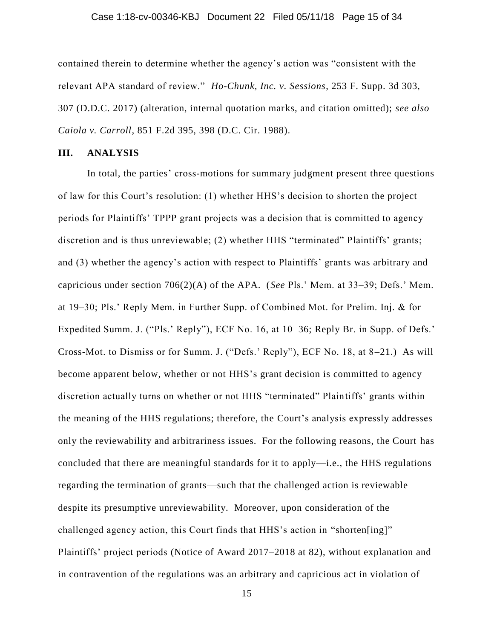### Case 1:18-cv-00346-KBJ Document 22 Filed 05/11/18 Page 15 of 34

contained therein to determine whether the agency's action was "consistent with the relevant APA standard of review." *Ho-Chunk, Inc. v. Sessions*, 253 F. Supp. 3d 303, 307 (D.D.C. 2017) (alteration, internal quotation marks, and citation omitted); *see also Caiola v. Carroll*, 851 F.2d 395, 398 (D.C. Cir. 1988).

### **III. ANALYSIS**

In total, the parties' cross-motions for summary judgment present three questions of law for this Court's resolution: (1) whether HHS's decision to shorten the project periods for Plaintiffs' TPPP grant projects was a decision that is committed to agency discretion and is thus unreviewable; (2) whether HHS "terminated" Plaintiffs' grants; and (3) whether the agency's action with respect to Plaintiffs' grants was arbitrary and capricious under section 706(2)(A) of the APA. (*See* Pls.' Mem. at 33–39; Defs.' Mem. at 19–30; Pls.' Reply Mem. in Further Supp. of Combined Mot. for Prelim. Inj. & for Expedited Summ. J. ("Pls.' Reply"), ECF No. 16, at 10–36; Reply Br. in Supp. of Defs.' Cross-Mot. to Dismiss or for Summ. J. ("Defs.' Reply"), ECF No. 18, at 8–21.) As will become apparent below, whether or not HHS's grant decision is committed to agency discretion actually turns on whether or not HHS "terminated" Plaintiffs' grants within the meaning of the HHS regulations; therefore, the Court's analysis expressly addresses only the reviewability and arbitrariness issues. For the following reasons, the Court has concluded that there are meaningful standards for it to apply—i.e., the HHS regulations regarding the termination of grants—such that the challenged action is reviewable despite its presumptive unreviewability. Moreover, upon consideration of the challenged agency action, this Court finds that HHS's action in "shorten[ing]" Plaintiffs' project periods (Notice of Award 2017–2018 at 82), without explanation and in contravention of the regulations was an arbitrary and capricious act in violation of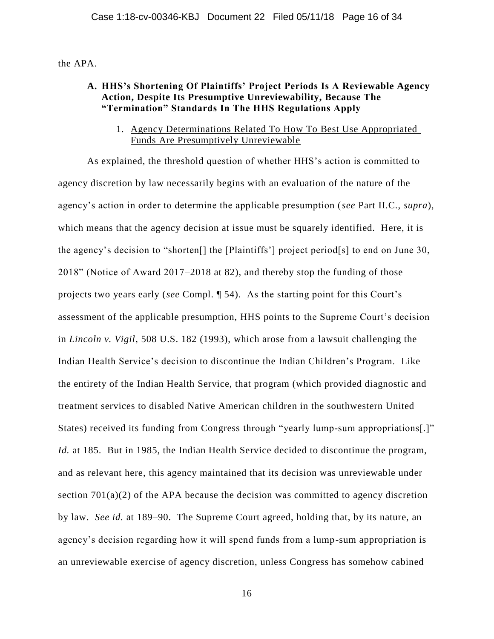the APA.

### **A. HHS's Shortening Of Plaintiffs' Project Periods Is A Reviewable Agency Action, Despite Its Presumptive Unreviewability, Because The "Termination" Standards In The HHS Regulations Apply**

1. Agency Determinations Related To How To Best Use Appropriated Funds Are Presumptively Unreviewable

As explained, the threshold question of whether HHS's action is committed to agency discretion by law necessarily begins with an evaluation of the nature of the agency's action in order to determine the applicable presumption (*see* Part II.C., *supra*), which means that the agency decision at issue must be squarely identified. Here, it is the agency's decision to "shorten[] the [Plaintiffs'] project period[s] to end on June 30, 2018" (Notice of Award 2017–2018 at 82), and thereby stop the funding of those projects two years early (*see* Compl. ¶ 54). As the starting point for this Court's assessment of the applicable presumption, HHS points to the Supreme Court's decision in *Lincoln v. Vigil*, 508 U.S. 182 (1993), which arose from a lawsuit challenging the Indian Health Service's decision to discontinue the Indian Children's Program. Like the entirety of the Indian Health Service, that program (which provided diagnostic and treatment services to disabled Native American children in the southwestern United States) received its funding from Congress through "yearly lump-sum appropriations[.]" *Id.* at 185. But in 1985, the Indian Health Service decided to discontinue the program, and as relevant here, this agency maintained that its decision was unreviewable under section  $701(a)(2)$  of the APA because the decision was committed to agency discretion by law. *See id.* at 189–90. The Supreme Court agreed, holding that, by its nature, an agency's decision regarding how it will spend funds from a lump-sum appropriation is an unreviewable exercise of agency discretion, unless Congress has somehow cabined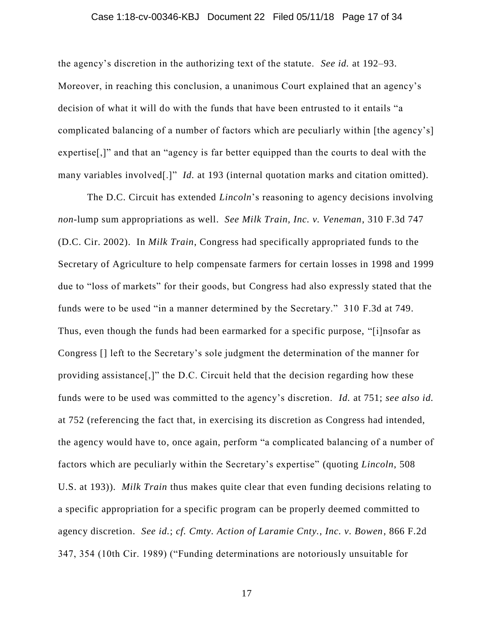### Case 1:18-cv-00346-KBJ Document 22 Filed 05/11/18 Page 17 of 34

the agency's discretion in the authorizing text of the statute. *See id.* at 192–93. Moreover, in reaching this conclusion, a unanimous Court explained that an agency's decision of what it will do with the funds that have been entrusted to it entails "a complicated balancing of a number of factors which are peculiarly within [the agency's] expertise[,]" and that an "agency is far better equipped than the courts to deal with the many variables involved[.]" *Id.* at 193 (internal quotation marks and citation omitted).

The D.C. Circuit has extended *Lincoln*'s reasoning to agency decisions involving *non*-lump sum appropriations as well. *See Milk Train, Inc. v. Veneman*, 310 F.3d 747 (D.C. Cir. 2002). In *Milk Train*, Congress had specifically appropriated funds to the Secretary of Agriculture to help compensate farmers for certain losses in 1998 and 1999 due to "loss of markets" for their goods, but Congress had also expressly stated that the funds were to be used "in a manner determined by the Secretary." 310 F.3d at 749. Thus, even though the funds had been earmarked for a specific purpose, "[i]nsofar as Congress [] left to the Secretary's sole judgment the determination of the manner for providing assistance[,]" the D.C. Circuit held that the decision regarding how these funds were to be used was committed to the agency's discretion. *Id.* at 751; *see also id.*  at 752 (referencing the fact that, in exercising its discretion as Congress had intended, the agency would have to, once again, perform "a complicated balancing of a number of factors which are peculiarly within the Secretary's expertise" (quoting *Lincoln*, 508 U.S. at 193)). *Milk Train* thus makes quite clear that even funding decisions relating to a specific appropriation for a specific program can be properly deemed committed to agency discretion. *See id.*; *cf. Cmty. Action of Laramie Cnty., Inc. v. Bowen*, 866 F.2d 347, 354 (10th Cir. 1989) ("Funding determinations are notoriously unsuitable for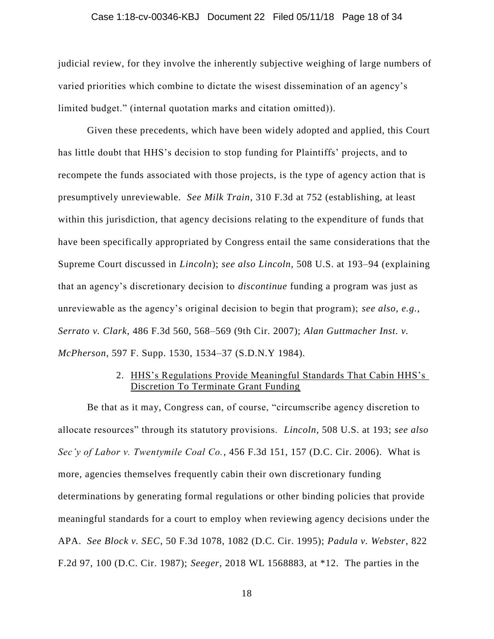### Case 1:18-cv-00346-KBJ Document 22 Filed 05/11/18 Page 18 of 34

judicial review, for they involve the inherently subjective weighing of large numbers of varied priorities which combine to dictate the wisest dissemination of an agency's limited budget." (internal quotation marks and citation omitted)).

Given these precedents, which have been widely adopted and applied, this Court has little doubt that HHS's decision to stop funding for Plaintiffs' projects, and to recompete the funds associated with those projects, is the type of agency action that is presumptively unreviewable. *See Milk Train*, 310 F.3d at 752 (establishing, at least within this jurisdiction, that agency decisions relating to the expenditure of funds that have been specifically appropriated by Congress entail the same considerations that the Supreme Court discussed in *Lincoln*); *see also Lincoln*, 508 U.S. at 193–94 (explaining that an agency's discretionary decision to *discontinue* funding a program was just as unreviewable as the agency's original decision to begin that program); *see also, e.g.*, *Serrato v. Clark*, 486 F.3d 560, 568–569 (9th Cir. 2007); *Alan Guttmacher Inst. v. McPherson*, 597 F. Supp. 1530, 1534–37 (S.D.N.Y 1984).

### 2. HHS's Regulations Provide Meaningful Standards That Cabin HHS's Discretion To Terminate Grant Funding

Be that as it may, Congress can, of course, "circumscribe agency discretion to allocate resources" through its statutory provisions. *Lincoln*, 508 U.S. at 193; *see also Sec'y of Labor v. Twentymile Coal Co.*, 456 F.3d 151, 157 (D.C. Cir. 2006). What is more, agencies themselves frequently cabin their own discretionary funding determinations by generating formal regulations or other binding policies that provide meaningful standards for a court to employ when reviewing agency decisions under the APA. *See Block v. SEC*, 50 F.3d 1078, 1082 (D.C. Cir. 1995); *Padula v. Webster*, 822 F.2d 97, 100 (D.C. Cir. 1987); *Seeger*, 2018 WL 1568883, at \*12. The parties in the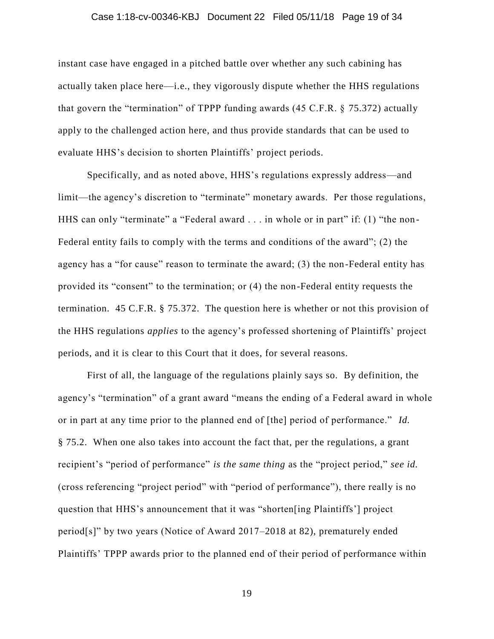#### Case 1:18-cv-00346-KBJ Document 22 Filed 05/11/18 Page 19 of 34

instant case have engaged in a pitched battle over whether any such cabining has actually taken place here—i.e., they vigorously dispute whether the HHS regulations that govern the "termination" of TPPP funding awards (45 C.F.R. § 75.372) actually apply to the challenged action here, and thus provide standards that can be used to evaluate HHS's decision to shorten Plaintiffs' project periods.

Specifically, and as noted above, HHS's regulations expressly address—and limit—the agency's discretion to "terminate" monetary awards. Per those regulations, HHS can only "terminate" a "Federal award . . . in whole or in part" if: (1) "the non-Federal entity fails to comply with the terms and conditions of the award"; (2) the agency has a "for cause" reason to terminate the award; (3) the non-Federal entity has provided its "consent" to the termination; or (4) the non-Federal entity requests the termination. 45 C.F.R. § 75.372. The question here is whether or not this provision of the HHS regulations *applies* to the agency's professed shortening of Plaintiffs' project periods, and it is clear to this Court that it does, for several reasons.

First of all, the language of the regulations plainly says so. By definition, the agency's "termination" of a grant award "means the ending of a Federal award in whole or in part at any time prior to the planned end of [the] period of performance." *Id.* § 75.2. When one also takes into account the fact that, per the regulations, a grant recipient's "period of performance" *is the same thing* as the "project period," *see id.* (cross referencing "project period" with "period of performance"), there really is no question that HHS's announcement that it was "shorten[ing Plaintiffs'] project period[s]" by two years (Notice of Award 2017–2018 at 82), prematurely ended Plaintiffs' TPPP awards prior to the planned end of their period of performance within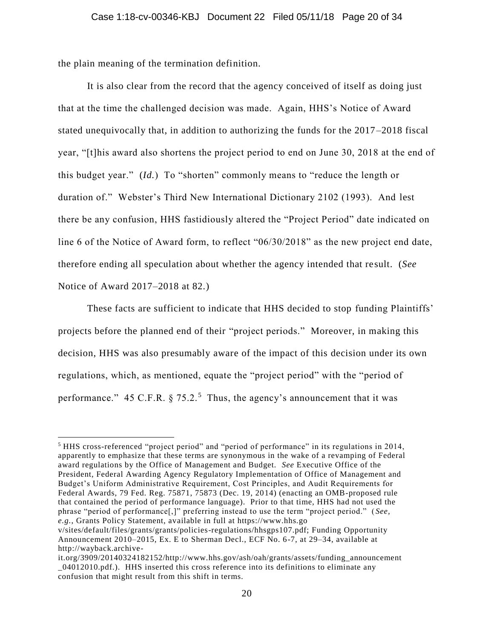the plain meaning of the termination definition.

 $\overline{a}$ 

It is also clear from the record that the agency conceived of itself as doing just that at the time the challenged decision was made. Again, HHS's Notice of Award stated unequivocally that, in addition to authorizing the funds for the 2017–2018 fiscal year, "[t]his award also shortens the project period to end on June 30, 2018 at the end of this budget year." (*Id.*) To "shorten" commonly means to "reduce the length or duration of." Webster's Third New International Dictionary 2102 (1993). And lest there be any confusion, HHS fastidiously altered the "Project Period" date indicated on line 6 of the Notice of Award form, to reflect "06/30/2018" as the new project end date, therefore ending all speculation about whether the agency intended that re sult. (*See*  Notice of Award 2017–2018 at 82.)

These facts are sufficient to indicate that HHS decided to stop funding Plaintiffs' projects before the planned end of their "project periods." Moreover, in making this decision, HHS was also presumably aware of the impact of this decision under its own regulations, which, as mentioned, equate the "project period" with the "period of performance." 45 C.F.R.  $\S 75.2$ .<sup>5</sup> Thus, the agency's announcement that it was

<sup>5</sup> HHS cross-referenced "project period" and "period of performance" in its regulations in 2014, apparently to emphasize that these terms are synonymous in the wake of a revamping of Federal award regulations by the Office of Management and Budget. *See* Executive Office of the President, Federal Awarding Agency Regulatory Implementation of Office of Management and Budget's Uniform Administrative Requirement, Cost Principles, and Audit Requirements for Federal Awards, 79 Fed. Reg. 75871, 75873 (Dec. 19, 2014) (enacting an OMB-proposed rule that contained the period of performance language). Prior to that time, HHS had not used the phrase "period of performance[,]" preferring instead to use the term "project period." ( *See, e.g.*, Grants Policy Statement, available in full at https://www.hhs.go

v/sites/default/files/grants/grants/policies-regulations/hhsgps107.pdf; Funding Opportunity Announcement 2010–2015, Ex. E to Sherman Decl., ECF No. 6-7, at 29–34, available at http://wayback.archive-

it.org/3909/20140324182152/http://www.hhs.gov/ash/oah/grants/assets/funding\_announcement \_04012010.pdf.). HHS inserted this cross reference into its definitions to eliminate any confusion that might result from this shift in terms.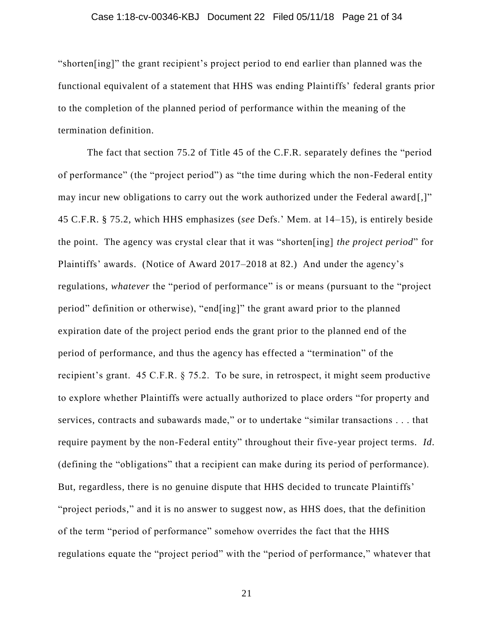#### Case 1:18-cv-00346-KBJ Document 22 Filed 05/11/18 Page 21 of 34

"shorten[ing]" the grant recipient's project period to end earlier than planned was the functional equivalent of a statement that HHS was ending Plaintiffs' federal grants prior to the completion of the planned period of performance within the meaning of the termination definition.

The fact that section 75.2 of Title 45 of the C.F.R. separately defines the "period of performance" (the "project period") as "the time during which the non-Federal entity may incur new obligations to carry out the work authorized under the Federal award [,]" 45 C.F.R. § 75.2, which HHS emphasizes (*see* Defs.' Mem. at 14–15), is entirely beside the point. The agency was crystal clear that it was "shorten[ing] *the project period*" for Plaintiffs' awards. (Notice of Award 2017–2018 at 82.) And under the agency's regulations, *whatever* the "period of performance" is or means (pursuant to the "project period" definition or otherwise), "end[ing]" the grant award prior to the planned expiration date of the project period ends the grant prior to the planned end of the period of performance, and thus the agency has effected a "termination" of the recipient's grant. 45 C.F.R. § 75.2. To be sure, in retrospect, it might seem productive to explore whether Plaintiffs were actually authorized to place orders "for property and services, contracts and subawards made," or to undertake "similar transactions . . . that require payment by the non-Federal entity" throughout their five-year project terms. *Id*. (defining the "obligations" that a recipient can make during its period of performance). But, regardless, there is no genuine dispute that HHS decided to truncate Plaintiffs' "project periods," and it is no answer to suggest now, as HHS does, that the definition of the term "period of performance" somehow overrides the fact that the HHS regulations equate the "project period" with the "period of performance," whatever that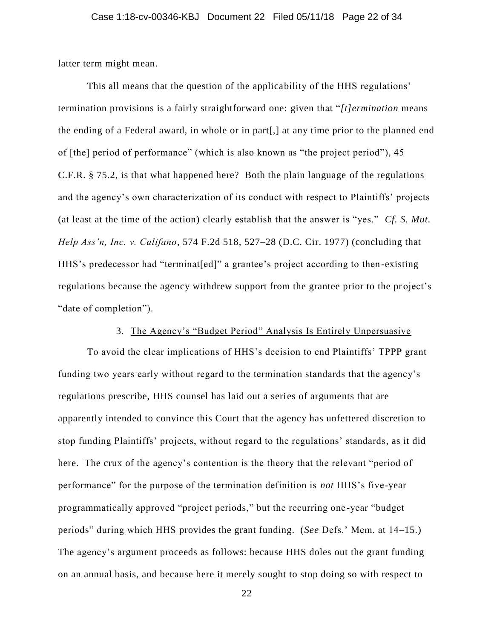latter term might mean.

This all means that the question of the applicability of the HHS regulations' termination provisions is a fairly straightforward one: given that "*[t]ermination* means the ending of a Federal award, in whole or in part[,] at any time prior to the planned end of [the] period of performance" (which is also known as "the project period"), 45 C.F.R. § 75.2, is that what happened here? Both the plain language of the regulations and the agency's own characterization of its conduct with respect to Plaintiffs' projects (at least at the time of the action) clearly establish that the answer is "yes." *Cf. S. Mut. Help Ass'n, Inc. v. Califano*, 574 F.2d 518, 527–28 (D.C. Cir. 1977) (concluding that HHS's predecessor had "terminat[ed]" a grantee's project according to then -existing regulations because the agency withdrew support from the grantee prior to the project's "date of completion").

# 3. The Agency's "Budget Period" Analysis Is Entirely Unpersuasive

To avoid the clear implications of HHS's decision to end Plaintiffs' TPPP grant funding two years early without regard to the termination standards that the agency's regulations prescribe, HHS counsel has laid out a series of arguments that are apparently intended to convince this Court that the agency has unfettered discretion to stop funding Plaintiffs' projects, without regard to the regulations' standards, as it did here. The crux of the agency's contention is the theory that the relevant "period of performance" for the purpose of the termination definition is *not* HHS's five-year programmatically approved "project periods," but the recurring one -year "budget periods" during which HHS provides the grant funding. (*See* Defs.' Mem. at 14–15.) The agency's argument proceeds as follows: because HHS doles out the grant funding on an annual basis, and because here it merely sought to stop doing so with respect to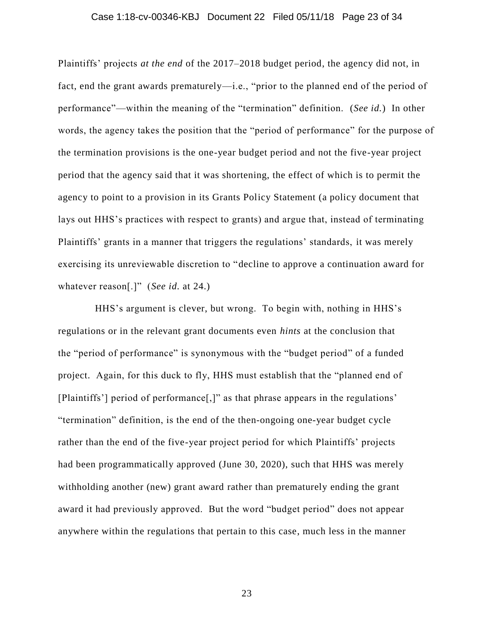#### Case 1:18-cv-00346-KBJ Document 22 Filed 05/11/18 Page 23 of 34

Plaintiffs' projects *at the end* of the 2017–2018 budget period, the agency did not, in fact, end the grant awards prematurely—i.e., "prior to the planned end of the period of performance"—within the meaning of the "termination" definition. (*See id.*) In other words, the agency takes the position that the "period of performance" for the purpose of the termination provisions is the one-year budget period and not the five-year project period that the agency said that it was shortening, the effect of which is to permit the agency to point to a provision in its Grants Policy Statement (a policy document that lays out HHS's practices with respect to grants) and argue that, instead of terminating Plaintiffs' grants in a manner that triggers the regulations' standards, it was merely exercising its unreviewable discretion to "decline to approve a continuation award for whatever reason[.]" (*See id.* at 24.)

HHS's argument is clever, but wrong. To begin with, nothing in HHS's regulations or in the relevant grant documents even *hints* at the conclusion that the "period of performance" is synonymous with the "budget period" of a funded project. Again, for this duck to fly, HHS must establish that the "planned end of [Plaintiffs'] period of performance[,]" as that phrase appears in the regulations' "termination" definition, is the end of the then-ongoing one-year budget cycle rather than the end of the five-year project period for which Plaintiffs' projects had been programmatically approved (June 30, 2020), such that HHS was merely withholding another (new) grant award rather than prematurely ending the grant award it had previously approved. But the word "budget period" does not appear anywhere within the regulations that pertain to this case, much less in the manner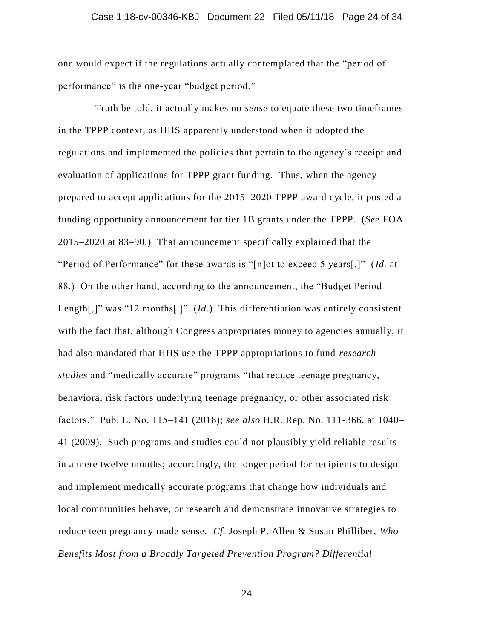### Case 1:18-cv-00346-KBJ Document 22 Filed 05/11/18 Page 24 of 34

one would expect if the regulations actually contemplated that the "period of performance" is the one-year "budget period."

Truth be told, it actually makes no *sense* to equate these two timeframes in the TPPP context, as HHS apparently understood when it adopted the regulations and implemented the policies that pertain to the agency's receipt and evaluation of applications for TPPP grant funding. Thus, when the agency prepared to accept applications for the 2015–2020 TPPP award cycle, it posted a funding opportunity announcement for tier 1B grants under the TPPP. (*See* FOA 2015–2020 at 83–90.) That announcement specifically explained that the "Period of Performance" for these awards is "[n]ot to exceed 5 years[.]" (*Id.* at 88.) On the other hand, according to the announcement, the "Budget Period Length[,]" was "12 months[.]" (*Id.*) This differentiation was entirely consistent with the fact that, although Congress appropriates money to agencies annually, it had also mandated that HHS use the TPPP appropriations to fund *research studies* and "medically accurate" programs "that reduce teenage pregnancy, behavioral risk factors underlying teenage pregnancy, or other associated risk factors." Pub. L. No. 115–141 (2018); *see also* H.R. Rep. No. 111-366, at 1040– 41 (2009). Such programs and studies could not plausibly yield reliable results in a mere twelve months; accordingly, the longer period for recipients to design and implement medically accurate programs that change how individuals and local communities behave, or research and demonstrate innovative strategies to reduce teen pregnancy made sense. *Cf.* Joseph P. Allen & Susan Philliber, *Who Benefits Most from a Broadly Targeted Prevention Program? Differential*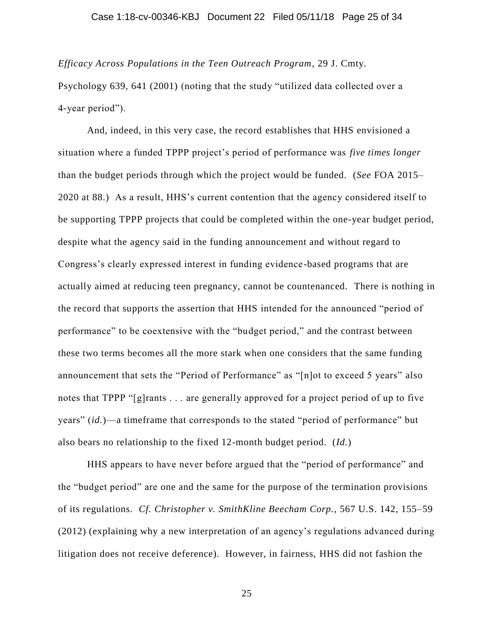*Efficacy Across Populations in the Teen Outreach Program*, 29 J. Cmty.

Psychology 639, 641 (2001) (noting that the study "utilized data collected over a 4-year period").

And, indeed, in this very case, the record establishes that HHS envisioned a situation where a funded TPPP project's period of performance was *five times longer* than the budget periods through which the project would be funded. (*See* FOA 2015– 2020 at 88.) As a result, HHS's current contention that the agency considered itself to be supporting TPPP projects that could be completed within the one-year budget period, despite what the agency said in the funding announcement and without regard to Congress's clearly expressed interest in funding evidence-based programs that are actually aimed at reducing teen pregnancy, cannot be countenanced. There is nothing in the record that supports the assertion that HHS intended for the announced "period of performance" to be coextensive with the "budget period," and the contrast between these two terms becomes all the more stark when one considers that the same funding announcement that sets the "Period of Performance" as "[n]ot to exceed 5 years" also notes that TPPP "[g]rants . . . are generally approved for a project period of up to five years" (*id.*)—a timeframe that corresponds to the stated "period of performance" but also bears no relationship to the fixed 12-month budget period. (*Id.*)

HHS appears to have never before argued that the "period of performance" and the "budget period" are one and the same for the purpose of the termination provisions of its regulations. *Cf. Christopher v. SmithKline Beecham Corp.*, 567 U.S. 142, 155–59 (2012) (explaining why a new interpretation of an agency's regulations advanced during litigation does not receive deference). However, in fairness, HHS did not fashion the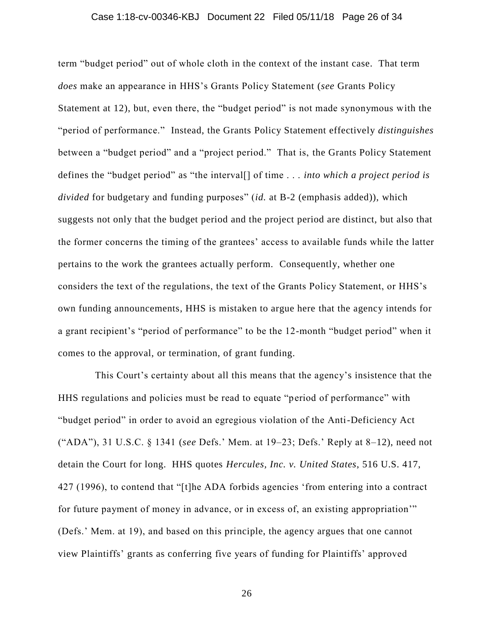### Case 1:18-cv-00346-KBJ Document 22 Filed 05/11/18 Page 26 of 34

term "budget period" out of whole cloth in the context of the instant case. That term *does* make an appearance in HHS's Grants Policy Statement (*see* Grants Policy Statement at 12), but, even there, the "budget period" is not made synonymous with the "period of performance." Instead, the Grants Policy Statement effectively *distinguishes* between a "budget period" and a "project period." That is, the Grants Policy Statement defines the "budget period" as "the interval[] of time . . . *into which a project period is divided* for budgetary and funding purposes" (*id.* at B-2 (emphasis added)), which suggests not only that the budget period and the project period are distinct, but also that the former concerns the timing of the grantees' access to available funds while the latter pertains to the work the grantees actually perform. Consequently, whether one considers the text of the regulations, the text of the Grants Policy Statement, or HHS's own funding announcements, HHS is mistaken to argue here that the agency intends for a grant recipient's "period of performance" to be the 12-month "budget period" when it comes to the approval, or termination, of grant funding.

This Court's certainty about all this means that the agency's insistence that the HHS regulations and policies must be read to equate "period of performance" with "budget period" in order to avoid an egregious violation of the Anti-Deficiency Act ("ADA"), 31 U.S.C. § 1341 (*see* Defs.' Mem. at 19–23; Defs.' Reply at 8–12), need not detain the Court for long. HHS quotes *Hercules, Inc. v. United States*, 516 U.S. 417, 427 (1996), to contend that "[t]he ADA forbids agencies 'from entering into a contract for future payment of money in advance, or in excess of, an existing appropriation'" (Defs.' Mem. at 19), and based on this principle, the agency argues that one cannot view Plaintiffs' grants as conferring five years of funding for Plaintiffs' approved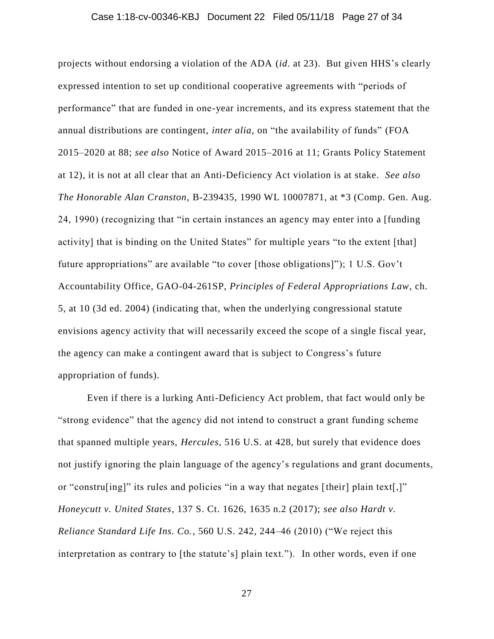### Case 1:18-cv-00346-KBJ Document 22 Filed 05/11/18 Page 27 of 34

projects without endorsing a violation of the ADA (*id*. at 23). But given HHS's clearly expressed intention to set up conditional cooperative agreements with "periods of performance" that are funded in one-year increments, and its express statement that the annual distributions are contingent, *inter alia*, on "the availability of funds" (FOA 2015–2020 at 88; *see also* Notice of Award 2015–2016 at 11; Grants Policy Statement at 12), it is not at all clear that an Anti-Deficiency Act violation is at stake. *See also The Honorable Alan Cranston*, B-239435, 1990 WL 10007871, at \*3 (Comp. Gen. Aug. 24, 1990) (recognizing that "in certain instances an agency may enter into a [funding activity] that is binding on the United States" for multiple years "to the extent [that] future appropriations" are available "to cover [those obligations]"); 1 U.S. Gov't Accountability Office, GAO-04-261SP, *Principles of Federal Appropriations Law*, ch. 5, at 10 (3d ed. 2004) (indicating that, when the underlying congressional statute envisions agency activity that will necessarily exceed the scope of a single fiscal year, the agency can make a contingent award that is subject to Congress's future appropriation of funds).

Even if there is a lurking Anti-Deficiency Act problem, that fact would only be "strong evidence" that the agency did not intend to construct a grant funding scheme that spanned multiple years, *Hercules*, 516 U.S. at 428, but surely that evidence does not justify ignoring the plain language of the agency's regulations and grant documents, or "constru[ing]" its rules and policies "in a way that negates [their] plain text[,]" *Honeycutt v. United States*, 137 S. Ct. 1626, 1635 n.2 (2017); *see also Hardt v. Reliance Standard Life Ins. Co.*, 560 U.S. 242, 244–46 (2010) ("We reject this interpretation as contrary to [the statute's] plain text."). In other words, even if one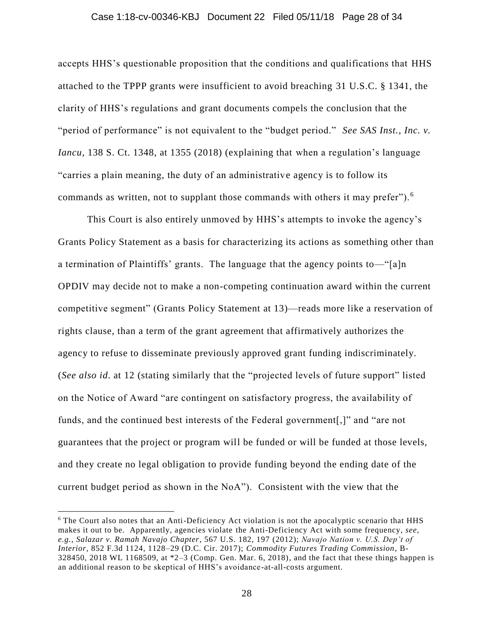### Case 1:18-cv-00346-KBJ Document 22 Filed 05/11/18 Page 28 of 34

accepts HHS's questionable proposition that the conditions and qualifications that HHS attached to the TPPP grants were insufficient to avoid breaching 31 U.S.C. § 1341, the clarity of HHS's regulations and grant documents compels the conclusion that the "period of performance" is not equivalent to the "budget period." *See SAS Inst., Inc. v. Iancu*, 138 S. Ct. 1348, at 1355 (2018) (explaining that when a regulation's language "carries a plain meaning, the duty of an administrative agency is to follow its commands as written, not to supplant those commands with others it may prefer" $)$ .<sup>6</sup>

This Court is also entirely unmoved by HHS's attempts to invoke the agency's Grants Policy Statement as a basis for characterizing its actions as something other than a termination of Plaintiffs' grants. The language that the agency points to—"[a]n OPDIV may decide not to make a non-competing continuation award within the current competitive segment" (Grants Policy Statement at 13)—reads more like a reservation of rights clause, than a term of the grant agreement that affirmatively authorizes the agency to refuse to disseminate previously approved grant funding indiscriminately. (*See also id*. at 12 (stating similarly that the "projected levels of future support" listed on the Notice of Award "are contingent on satisfactory progress, the availability of funds, and the continued best interests of the Federal government[,]" and "are not guarantees that the project or program will be funded or will be funded at those levels, and they create no legal obligation to provide funding beyond the ending date of the current budget period as shown in the NoA"). Consistent with the view that the

 $\overline{a}$ 

<sup>&</sup>lt;sup>6</sup> The Court also notes that an Anti-Deficiency Act violation is not the apocalyptic scenario that HHS makes it out to be. Apparently, agencies violate the Anti-Deficiency Act with some frequency, *see, e.g.*, *Salazar v. Ramah Navajo Chapter*, 567 U.S. 182, 197 (2012); *Navajo Nation v. U.S. Dep't of Interior*, 852 F.3d 1124, 1128–29 (D.C. Cir. 2017); *Commodity Futures Trading Commission*, B-328450, 2018 WL 1168509, at \*2–3 (Comp. Gen. Mar. 6, 2018), and the fact that these things happen is an additional reason to be skeptical of HHS's avoidance-at-all-costs argument.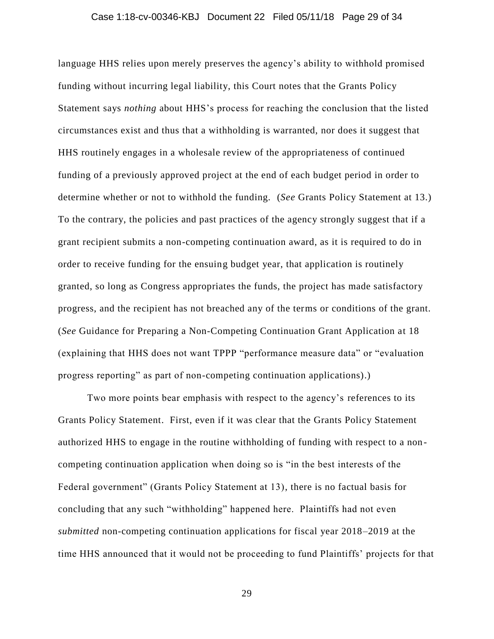#### Case 1:18-cv-00346-KBJ Document 22 Filed 05/11/18 Page 29 of 34

language HHS relies upon merely preserves the agency's ability to withhold promised funding without incurring legal liability, this Court notes that the Grants Policy Statement says *nothing* about HHS's process for reaching the conclusion that the listed circumstances exist and thus that a withholding is warranted, nor does it suggest that HHS routinely engages in a wholesale review of the appropriateness of continued funding of a previously approved project at the end of each budget period in order to determine whether or not to withhold the funding. (*See* Grants Policy Statement at 13.) To the contrary, the policies and past practices of the agency strongly suggest that if a grant recipient submits a non-competing continuation award, as it is required to do in order to receive funding for the ensuing budget year, that application is routinely granted, so long as Congress appropriates the funds, the project has made satisfactory progress, and the recipient has not breached any of the terms or conditions of the grant. (*See* Guidance for Preparing a Non-Competing Continuation Grant Application at 18 (explaining that HHS does not want TPPP "performance measure data" or "evaluation progress reporting" as part of non-competing continuation applications).)

Two more points bear emphasis with respect to the agency's references to its Grants Policy Statement. First, even if it was clear that the Grants Policy Statement authorized HHS to engage in the routine withholding of funding with respect to a non competing continuation application when doing so is "in the best interests of the Federal government" (Grants Policy Statement at 13), there is no factual basis for concluding that any such "withholding" happened here. Plaintiffs had not even *submitted* non-competing continuation applications for fiscal year 2018–2019 at the time HHS announced that it would not be proceeding to fund Plaintiffs' projects for that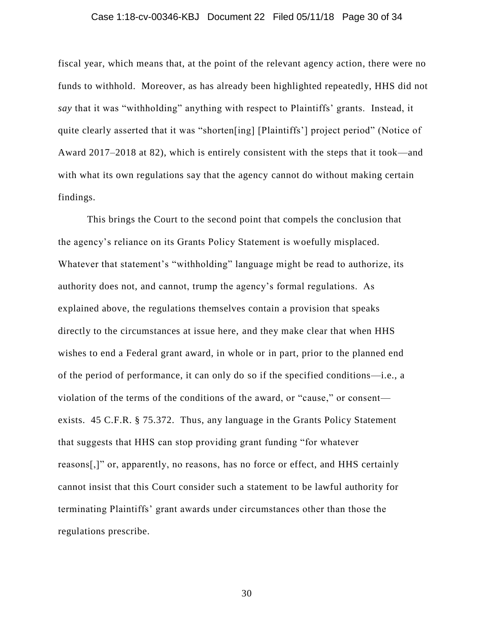### Case 1:18-cv-00346-KBJ Document 22 Filed 05/11/18 Page 30 of 34

fiscal year, which means that, at the point of the relevant agency action, there were no funds to withhold. Moreover, as has already been highlighted repeatedly, HHS did not *say* that it was "withholding" anything with respect to Plaintiffs' grants. Instead, it quite clearly asserted that it was "shorten[ing] [Plaintiffs'] project period" (Notice of Award 2017–2018 at 82), which is entirely consistent with the steps that it took—and with what its own regulations say that the agency cannot do without making certain findings.

This brings the Court to the second point that compels the conclusion that the agency's reliance on its Grants Policy Statement is woefully misplaced. Whatever that statement's "withholding" language might be read to authorize, its authority does not, and cannot, trump the agency's formal regulations. As explained above, the regulations themselves contain a provision that speaks directly to the circumstances at issue here, and they make clear that when HHS wishes to end a Federal grant award, in whole or in part, prior to the planned end of the period of performance, it can only do so if the specified conditions—i.e., a violation of the terms of the conditions of the award, or "cause," or consent exists. 45 C.F.R. § 75.372. Thus, any language in the Grants Policy Statement that suggests that HHS can stop providing grant funding "for whatever reasons[,]" or, apparently, no reasons, has no force or effect, and HHS certainly cannot insist that this Court consider such a statement to be lawful authority for terminating Plaintiffs' grant awards under circumstances other than those the regulations prescribe.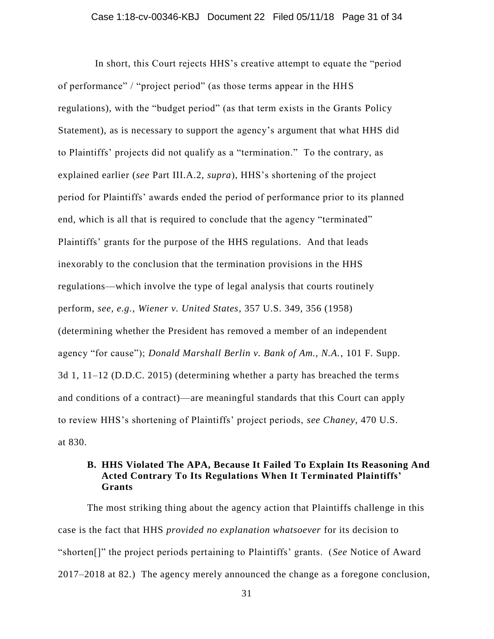In short, this Court rejects HHS's creative attempt to equate the "period of performance" / "project period" (as those terms appear in the HHS regulations), with the "budget period" (as that term exists in the Grants Policy Statement), as is necessary to support the agency's argument that what HHS did to Plaintiffs' projects did not qualify as a "termination." To the contrary, as explained earlier (*see* Part III.A.2, *supra*), HHS's shortening of the project period for Plaintiffs' awards ended the period of performance prior to its planned end, which is all that is required to conclude that the agency "terminated" Plaintiffs' grants for the purpose of the HHS regulations. And that leads inexorably to the conclusion that the termination provisions in the HHS regulations—which involve the type of legal analysis that courts routinely perform, *see, e.g.*, *Wiener v. United States*, 357 U.S. 349, 356 (1958) (determining whether the President has removed a member of an independent agency "for cause"); *Donald Marshall Berlin v. Bank of Am., N.A.*, 101 F. Supp. 3d 1, 11–12 (D.D.C. 2015) (determining whether a party has breached the terms and conditions of a contract)—are meaningful standards that this Court can apply to review HHS's shortening of Plaintiffs' project periods, *see Chaney*, 470 U.S. at 830.

### **B. HHS Violated The APA, Because It Failed To Explain Its Reasoning And Acted Contrary To Its Regulations When It Terminated Plaintiffs' Grants**

The most striking thing about the agency action that Plaintiffs challenge in this case is the fact that HHS *provided no explanation whatsoever* for its decision to "shorten[]" the project periods pertaining to Plaintiffs' grants. (*See* Notice of Award 2017–2018 at 82.) The agency merely announced the change as a foregone conclusion,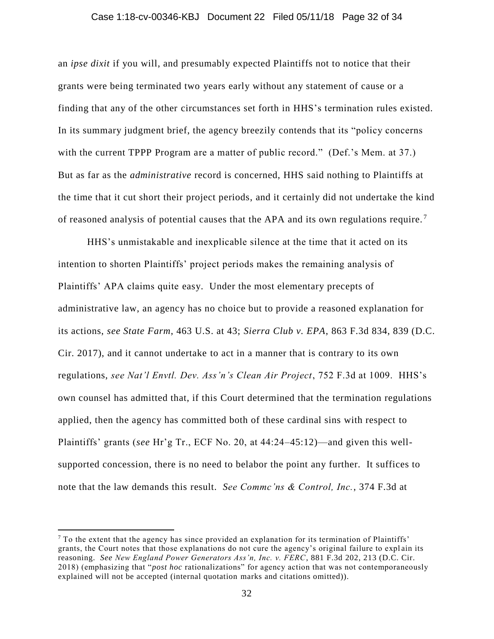### Case 1:18-cv-00346-KBJ Document 22 Filed 05/11/18 Page 32 of 34

an *ipse dixit* if you will, and presumably expected Plaintiffs not to notice that their grants were being terminated two years early without any statement of cause or a finding that any of the other circumstances set forth in HHS's termination rules existed. In its summary judgment brief, the agency breezily contends that its "policy concerns with the current TPPP Program are a matter of public record." (Def.'s Mem. at 37.) But as far as the *administrative* record is concerned, HHS said nothing to Plaintiffs at the time that it cut short their project periods, and it certainly did not undertake the kind of reasoned analysis of potential causes that the APA and its own regulations require.<sup>7</sup>

HHS's unmistakable and inexplicable silence at the time that it acted on its intention to shorten Plaintiffs' project periods makes the remaining analysis of Plaintiffs' APA claims quite easy. Under the most elementary precepts of administrative law, an agency has no choice but to provide a reasoned explanation for its actions, *see State Farm*, 463 U.S. at 43; *Sierra Club v. EPA*, 863 F.3d 834, 839 (D.C. Cir. 2017), and it cannot undertake to act in a manner that is contrary to its own regulations, *see Nat'l Envtl. Dev. Ass'n's Clean Air Project*, 752 F.3d at 1009. HHS's own counsel has admitted that, if this Court determined that the termination regulations applied, then the agency has committed both of these cardinal sins with respect to Plaintiffs' grants (*see* Hr'g Tr., ECF No. 20, at 44:24–45:12)—and given this wellsupported concession, there is no need to belabor the point any further. It suffices to note that the law demands this result. *See Commc'ns & Control, Inc.*, 374 F.3d at

 $\overline{a}$ 

 $<sup>7</sup>$  To the extent that the agency has since provided an explanation for its termination of Plaintiffs'</sup> grants, the Court notes that those explanations do not cure the agency's original failure to expl ain its reasoning. *See New England Power Generators Ass'n, Inc. v. FERC*, 881 F.3d 202, 213 (D.C. Cir. 2018) (emphasizing that "*post hoc* rationalizations" for agency action that was not contemporaneously explained will not be accepted (internal quotation marks and citations omitted)).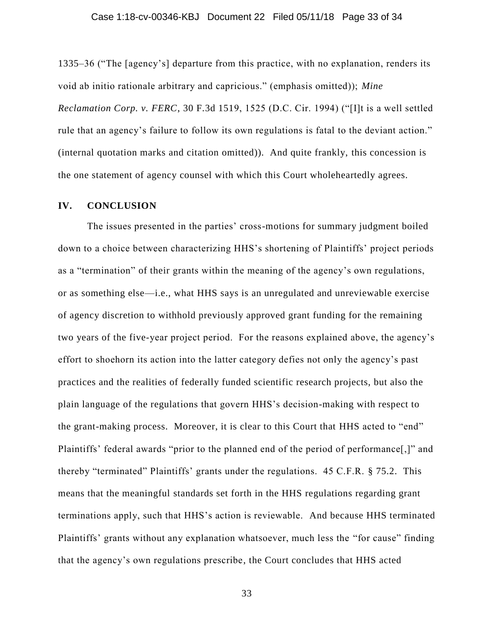1335–36 ("The [agency's] departure from this practice, with no explanation, renders its void ab initio rationale arbitrary and capricious." (emphasis omitted)); *Mine Reclamation Corp. v. FERC*, 30 F.3d 1519, 1525 (D.C. Cir. 1994) ("[I]t is a well settled rule that an agency's failure to follow its own regulations is fatal to the deviant action." (internal quotation marks and citation omitted)). And quite frankly, this concession is the one statement of agency counsel with which this Court wholeheartedly agrees.

### **IV. CONCLUSION**

The issues presented in the parties' cross-motions for summary judgment boiled down to a choice between characterizing HHS's shortening of Plaintiffs' project periods as a "termination" of their grants within the meaning of the agency's own regulations, or as something else—i.e., what HHS says is an unregulated and unreviewable exercise of agency discretion to withhold previously approved grant funding for the remaining two years of the five-year project period. For the reasons explained above, the agency's effort to shoehorn its action into the latter category defies not only the agency's past practices and the realities of federally funded scientific research projects, but also the plain language of the regulations that govern HHS's decision-making with respect to the grant-making process. Moreover, it is clear to this Court that HHS acted to "end" Plaintiffs' federal awards "prior to the planned end of the period of performance[,]" and thereby "terminated" Plaintiffs' grants under the regulations. 45 C.F.R. § 75.2. This means that the meaningful standards set forth in the HHS regulations regarding grant terminations apply, such that HHS's action is reviewable. And because HHS terminated Plaintiffs' grants without any explanation whatsoever, much less the "for cause" finding that the agency's own regulations prescribe, the Court concludes that HHS acted